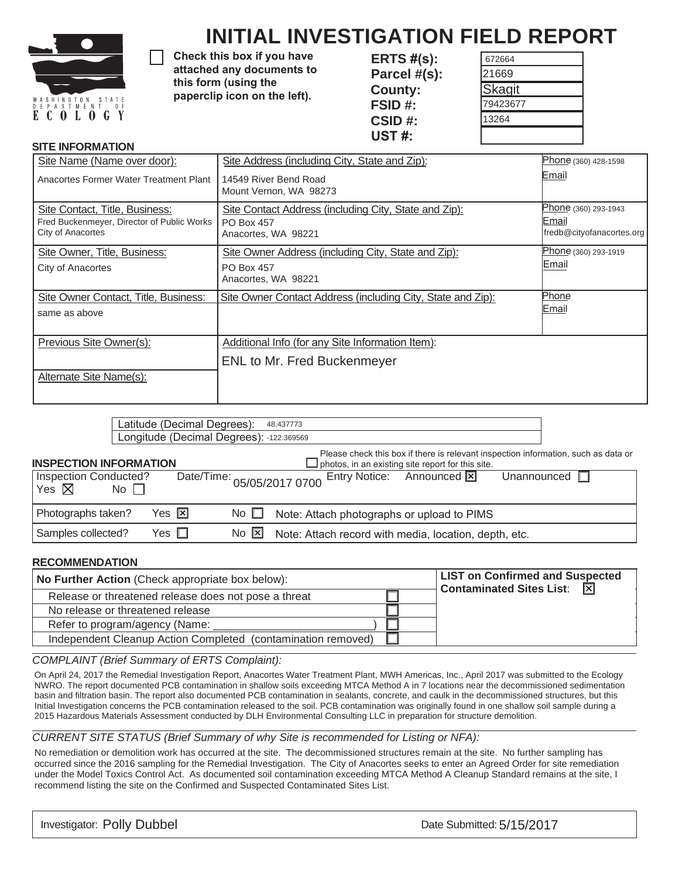

# **INITIAL INVESTIGATION FIELD REPORT**

Check this box if you have attached any documents to this form (using the paperclip icon on the left).

**ERTS V: Parcel #(s): County: FSID #: CSID #: UST #:** 

| 672664        |  |
|---------------|--|
| 21669         |  |
| <b>Skagit</b> |  |
| 79423677      |  |
| 13264         |  |
|               |  |
|               |  |

# **SITE INFORMATION**

| Site Name (Name over door):                                                                       | Site Address (including City, State and Zip):                                                     | Phone (360) 428-1598                                       |
|---------------------------------------------------------------------------------------------------|---------------------------------------------------------------------------------------------------|------------------------------------------------------------|
| Anacortes Former Water Treatment Plant                                                            | 14549 River Bend Road<br>Mount Vernon, WA 98273                                                   | Email                                                      |
| Site Contact, Title, Business:<br>Fred Buckenmeyer, Director of Public Works<br>City of Anacortes | Site Contact Address (including City, State and Zip):<br><b>PO Box 457</b><br>Anacortes, WA 98221 | Phone (360) 293-1943<br>Email<br>fredb@cityofanacortes.org |
| Site Owner, Title, Business:<br>City of Anacortes                                                 | Site Owner Address (including City, State and Zip):<br><b>PO Box 457</b><br>Anacortes, WA 98221   | Phone (360) 293-1919<br>Email                              |
| Site Owner Contact, Title, Business:<br>same as above                                             | Site Owner Contact Address (including City, State and Zip):                                       | Phone<br>Email                                             |
| Previous Site Owner(s):                                                                           | Additional Info (for any Site Information Item):<br><b>ENL to Mr. Fred Buckenmeyer</b>            |                                                            |
| Alternate Site Name(s):                                                                           |                                                                                                   |                                                            |

|                                       |             |                      | Latitude (Decimal Degrees):<br>Longitude (Decimal Degrees): -122.369569 |                               | 48.437773                                                                                                                                   |
|---------------------------------------|-------------|----------------------|-------------------------------------------------------------------------|-------------------------------|---------------------------------------------------------------------------------------------------------------------------------------------|
| <b>INSPECTION INFORMATION</b>         |             |                      |                                                                         |                               | Please check this box if there is relevant inspection information, such as data or $\Box$ photos, in an existing site report for this site. |
| Inspection Conducted?<br>Yes $\nabla$ | $No$ $\Box$ |                      |                                                                         |                               | Entry Notice: Announced X<br>Unannounced $\Box$<br>Date/Time: 05/05/2017 0700                                                               |
| Photographs taken?                    |             | Yes $ \overline{x} $ |                                                                         | No $\Box$                     | Note: Attach photographs or upload to PIMS                                                                                                  |
| Samples collected?                    |             | Yes □                |                                                                         | $\overline{N}$ $\overline{N}$ | Note: Attach record with media, location, depth, etc.                                                                                       |

### **RECOMMENDATION**

| No Further Action (Check appropriate box below):             | <b>LIST on Confirmed and Suspected</b><br>Contaminated Sites List: X |
|--------------------------------------------------------------|----------------------------------------------------------------------|
| Release or threatened release does not pose a threat         |                                                                      |
| No release or threatened release                             |                                                                      |
| Refer to program/agency (Name:                               |                                                                      |
| Independent Cleanup Action Completed (contamination removed) |                                                                      |

### *COMPLAINT (Brief Summary of ERTS Complaint):*

On April 24, 2017 the Remedial Investigation Report, Anacortes Water Treatment Plant, MWH Americas, Inc., April 2017 was submitted to the Ecology NWRO. The report documented PCB contamination in shallow soils exceeding MTCA Method A in 7 locations near the decommissioned sedimentation basin and filtration basin. The report also documented PCB contamination in sealants, concrete, and caulk in the decommissioned structures, but this Initial Investigation concerns the PCB contamination released to the soil. PCB contamination was originally found in one shallow soil sample during a 2015 Hazardous Materials Assessment conducted by DLH Environmental Consulting LLC in preparation for structure demolition.

### *CURRENT SITE STATUS (Brief Summary of why Site is recommended for Listing or NFA):*

No remediation or demolition work has occurred at the site. The decommissioned structures remain at the site. No further sampling has occurred since the 2016 sampling for the Remedial Investigation. The City of Anacortes seeks to enter an Agreed Order for site remediation under the Model Toxics Control Act. As documented soil contamination exceeding MTCA Method A Cleanup Standard remains at the site, I recommend listing the site on the Confirmed and Suspected Contaminated Sites List.

Investigator: Polly Dubbel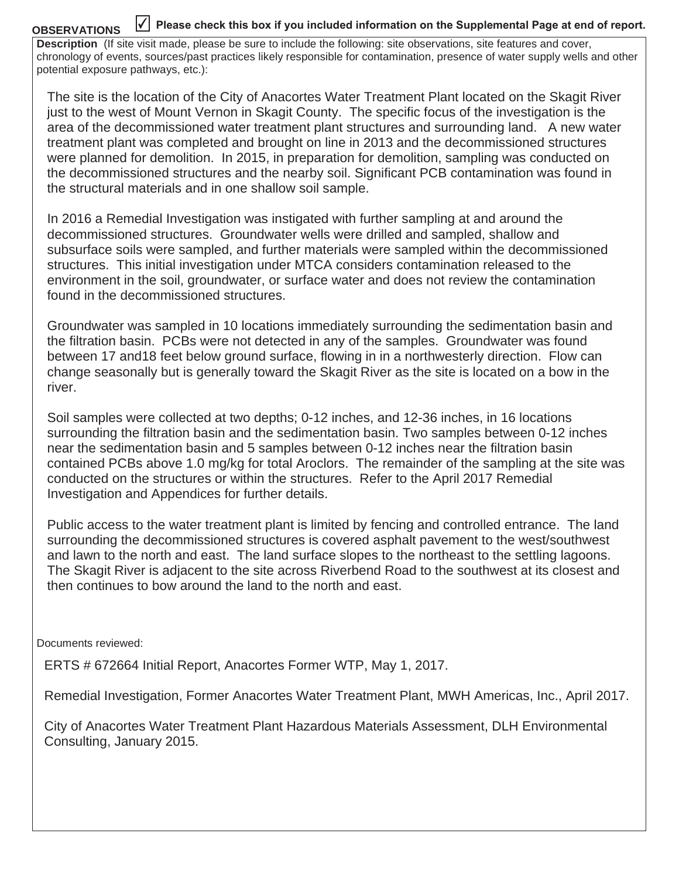#### **OBSERVATIONS**  $\overline{\checkmark}$  Please check this box if you included information on the Supplemental Page at end of report.

**Description** (If site visit made, please be sure to include the following: site observations, site features and cover, chronology of events, sources/past practices likely responsible for contamination, presence of water supply wells and other potential exposure pathways, etc.):

The site is the location of the City of Anacortes Water Treatment Plant located on the Skagit River just to the west of Mount Vernon in Skagit County. The specific focus of the investigation is the area of the decommissioned water treatment plant structures and surrounding land. A new water treatment plant was completed and brought on line in 2013 and the decommissioned structures were planned for demolition. In 2015, in preparation for demolition, sampling was conducted on the decommissioned structures and the nearby soil. Significant PCB contamination was found in the structural materials and in one shallow soil sample.

In 2016 a Remedial Investigation was instigated with further sampling at and around the decommissioned structures. Groundwater wells were drilled and sampled, shallow and subsurface soils were sampled, and further materials were sampled within the decommissioned structures. This initial investigation under MTCA considers contamination released to the environment in the soil, groundwater, or surface water and does not review the contamination found in the decommissioned structures.

Groundwater was sampled in 10 locations immediately surrounding the sedimentation basin and the filtration basin. PCBs were not detected in any of the samples. Groundwater was found between 17 and18 feet below ground surface, flowing in in a northwesterly direction. Flow can change seasonally but is generally toward the Skagit River as the site is located on a bow in the river.

Soil samples were collected at two depths; 0-12 inches, and 12-36 inches, in 16 locations surrounding the filtration basin and the sedimentation basin. Two samples between 0-12 inches near the sedimentation basin and 5 samples between 0-12 inches near the filtration basin contained PCBs above 1.0 mg/kg for total Aroclors. The remainder of the sampling at the site was conducted on the structures or within the structures. Refer to the April 2017 Remedial Investigation and Appendices for further details.

Public access to the water treatment plant is limited by fencing and controlled entrance. The land surrounding the decommissioned structures is covered asphalt pavement to the west/southwest and lawn to the north and east. The land surface slopes to the northeast to the settling lagoons. The Skagit River is adjacent to the site across Riverbend Road to the southwest at its closest and then continues to bow around the land to the north and east.

Documents reviewed:

ERTS # 672664 Initial Report, Anacortes Former WTP, May 1, 2017.

Remedial Investigation, Former Anacortes Water Treatment Plant, MWH Americas, Inc., April 2017.

City of Anacortes Water Treatment Plant Hazardous Materials Assessment, DLH Environmental Consulting, January 2015.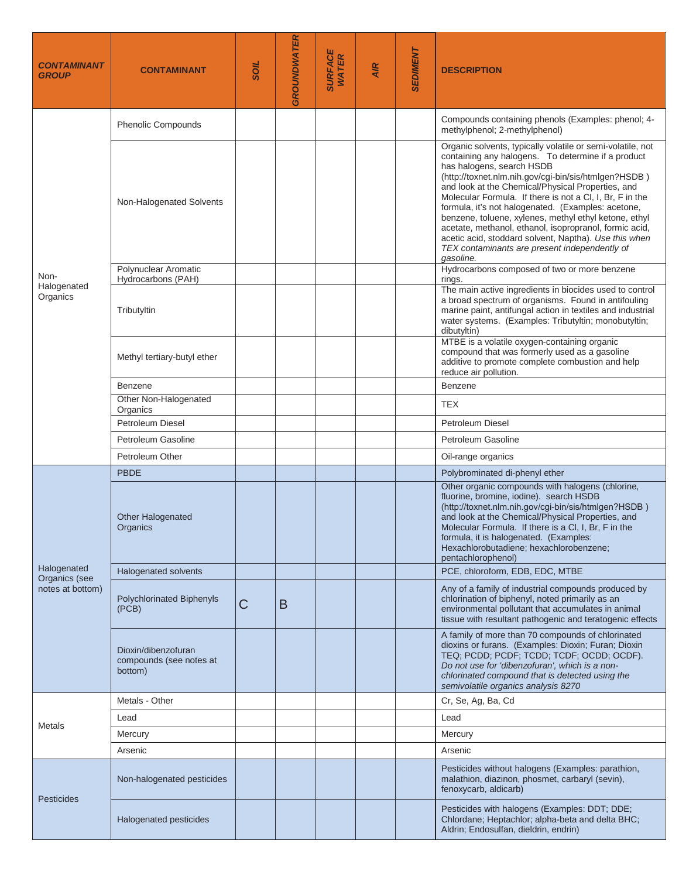| <i><b>CONTAMINANT</b></i><br><b>GROUP</b> | <b>CONTAMINANT</b>                                        | TIOS | <b>GROUNDWATER</b> | <b>SURFACE</b><br>WATER | <b>AIR</b> | <b>SEDIMENT</b> | <b>DESCRIPTION</b>                                                                                                                                                                                                                                                                                                                                                                                                                                                                                                                                                                                                     |
|-------------------------------------------|-----------------------------------------------------------|------|--------------------|-------------------------|------------|-----------------|------------------------------------------------------------------------------------------------------------------------------------------------------------------------------------------------------------------------------------------------------------------------------------------------------------------------------------------------------------------------------------------------------------------------------------------------------------------------------------------------------------------------------------------------------------------------------------------------------------------------|
|                                           | <b>Phenolic Compounds</b>                                 |      |                    |                         |            |                 | Compounds containing phenols (Examples: phenol; 4-<br>methylphenol; 2-methylphenol)                                                                                                                                                                                                                                                                                                                                                                                                                                                                                                                                    |
|                                           | Non-Halogenated Solvents                                  |      |                    |                         |            |                 | Organic solvents, typically volatile or semi-volatile, not<br>containing any halogens. To determine if a product<br>has halogens, search HSDB<br>(http://toxnet.nlm.nih.gov/cgi-bin/sis/htmlgen?HSDB)<br>and look at the Chemical/Physical Properties, and<br>Molecular Formula. If there is not a CI, I, Br, F in the<br>formula, it's not halogenated. (Examples: acetone,<br>benzene, toluene, xylenes, methyl ethyl ketone, ethyl<br>acetate, methanol, ethanol, isopropranol, formic acid,<br>acetic acid, stoddard solvent, Naptha). Use this when<br>TEX contaminants are present independently of<br>gasoline. |
| Non-                                      | Polynuclear Aromatic<br>Hydrocarbons (PAH)                |      |                    |                         |            |                 | Hydrocarbons composed of two or more benzene<br>rings.                                                                                                                                                                                                                                                                                                                                                                                                                                                                                                                                                                 |
| Halogenated<br>Organics                   | Tributyltin                                               |      |                    |                         |            |                 | The main active ingredients in biocides used to control<br>a broad spectrum of organisms. Found in antifouling<br>marine paint, antifungal action in textiles and industrial<br>water systems. (Examples: Tributyltin; monobutyltin;<br>dibutyltin)<br>MTBE is a volatile oxygen-containing organic                                                                                                                                                                                                                                                                                                                    |
|                                           | Methyl tertiary-butyl ether                               |      |                    |                         |            |                 | compound that was formerly used as a gasoline<br>additive to promote complete combustion and help<br>reduce air pollution.                                                                                                                                                                                                                                                                                                                                                                                                                                                                                             |
|                                           | Benzene                                                   |      |                    |                         |            |                 | <b>Benzene</b>                                                                                                                                                                                                                                                                                                                                                                                                                                                                                                                                                                                                         |
|                                           | Other Non-Halogenated<br>Organics                         |      |                    |                         |            |                 | <b>TEX</b>                                                                                                                                                                                                                                                                                                                                                                                                                                                                                                                                                                                                             |
|                                           | Petroleum Diesel                                          |      |                    |                         |            |                 | Petroleum Diesel                                                                                                                                                                                                                                                                                                                                                                                                                                                                                                                                                                                                       |
|                                           | Petroleum Gasoline                                        |      |                    |                         |            |                 | Petroleum Gasoline                                                                                                                                                                                                                                                                                                                                                                                                                                                                                                                                                                                                     |
|                                           | Petroleum Other                                           |      |                    |                         |            |                 | Oil-range organics                                                                                                                                                                                                                                                                                                                                                                                                                                                                                                                                                                                                     |
|                                           | <b>PBDE</b>                                               |      |                    |                         |            |                 | Polybrominated di-phenyl ether                                                                                                                                                                                                                                                                                                                                                                                                                                                                                                                                                                                         |
|                                           | <b>Other Halogenated</b><br>Organics                      |      |                    |                         |            |                 | Other organic compounds with halogens (chlorine,<br>fluorine, bromine, iodine). search HSDB<br>(http://toxnet.nlm.nih.gov/cgi-bin/sis/htmlgen?HSDB)<br>and look at the Chemical/Physical Properties, and<br>Molecular Formula. If there is a CI, I, Br, F in the<br>formula, it is halogenated. (Examples:<br>Hexachlorobutadiene; hexachlorobenzene;<br>pentachlorophenol)                                                                                                                                                                                                                                            |
| Halogenated<br>Organics (see              | <b>Halogenated solvents</b>                               |      |                    |                         |            |                 | PCE, chloroform, EDB, EDC, MTBE                                                                                                                                                                                                                                                                                                                                                                                                                                                                                                                                                                                        |
| notes at bottom)                          | Polychlorinated Biphenyls<br>(PCB)                        | C    | B                  |                         |            |                 | Any of a family of industrial compounds produced by<br>chlorination of biphenyl, noted primarily as an<br>environmental pollutant that accumulates in animal<br>tissue with resultant pathogenic and teratogenic effects                                                                                                                                                                                                                                                                                                                                                                                               |
|                                           | Dioxin/dibenzofuran<br>compounds (see notes at<br>bottom) |      |                    |                         |            |                 | A family of more than 70 compounds of chlorinated<br>dioxins or furans. (Examples: Dioxin; Furan; Dioxin<br>TEQ; PCDD; PCDF; TCDD; TCDF; OCDD; OCDF).<br>Do not use for 'dibenzofuran', which is a non-<br>chlorinated compound that is detected using the<br>semivolatile organics analysis 8270                                                                                                                                                                                                                                                                                                                      |
|                                           | Metals - Other                                            |      |                    |                         |            |                 | Cr, Se, Ag, Ba, Cd                                                                                                                                                                                                                                                                                                                                                                                                                                                                                                                                                                                                     |
|                                           | Lead                                                      |      |                    |                         |            |                 | Lead                                                                                                                                                                                                                                                                                                                                                                                                                                                                                                                                                                                                                   |
| Metals                                    | Mercury                                                   |      |                    |                         |            |                 | Mercury                                                                                                                                                                                                                                                                                                                                                                                                                                                                                                                                                                                                                |
|                                           | Arsenic                                                   |      |                    |                         |            |                 | Arsenic                                                                                                                                                                                                                                                                                                                                                                                                                                                                                                                                                                                                                |
| <b>Pesticides</b>                         | Non-halogenated pesticides                                |      |                    |                         |            |                 | Pesticides without halogens (Examples: parathion,<br>malathion, diazinon, phosmet, carbaryl (sevin),<br>fenoxycarb, aldicarb)                                                                                                                                                                                                                                                                                                                                                                                                                                                                                          |
|                                           | Halogenated pesticides                                    |      |                    |                         |            |                 | Pesticides with halogens (Examples: DDT; DDE;<br>Chlordane; Heptachlor; alpha-beta and delta BHC;<br>Aldrin; Endosulfan, dieldrin, endrin)                                                                                                                                                                                                                                                                                                                                                                                                                                                                             |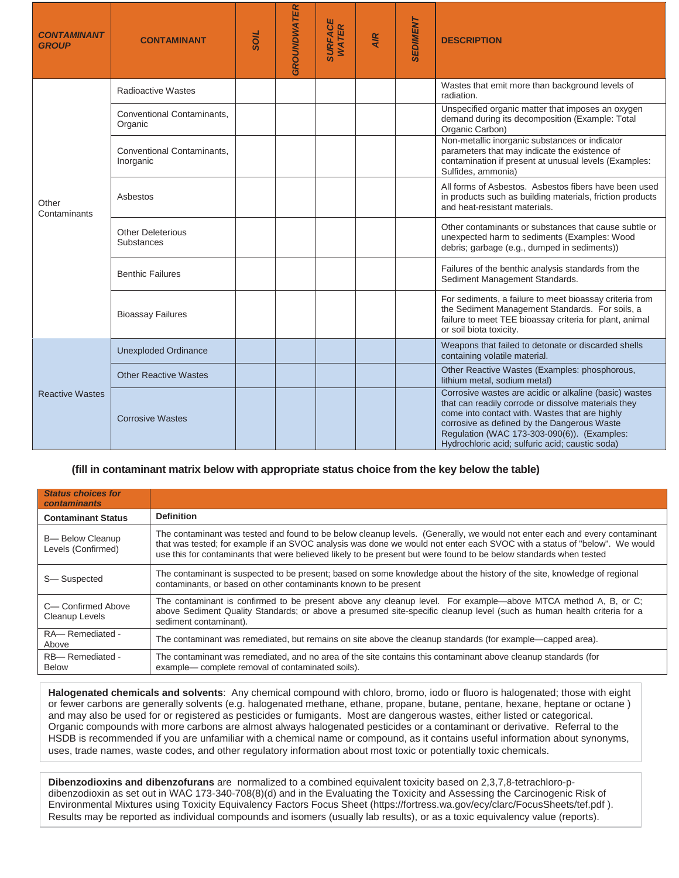| <b>CONTAMINANT</b><br><b>GROUP</b> | <b>CONTAMINANT</b>                             | TIOS | <b>GROUNDWATER</b> | SURFACE<br>WATER | <b>AIR</b> | <b>SEDIMENT</b> | <b>DESCRIPTION</b>                                                                                                                                                                                                                                                                                               |
|------------------------------------|------------------------------------------------|------|--------------------|------------------|------------|-----------------|------------------------------------------------------------------------------------------------------------------------------------------------------------------------------------------------------------------------------------------------------------------------------------------------------------------|
|                                    | Radioactive Wastes                             |      |                    |                  |            |                 | Wastes that emit more than background levels of<br>radiation.                                                                                                                                                                                                                                                    |
| Other<br>Contaminants              | <b>Conventional Contaminants.</b><br>Organic   |      |                    |                  |            |                 | Unspecified organic matter that imposes an oxygen<br>demand during its decomposition (Example: Total<br>Organic Carbon)                                                                                                                                                                                          |
|                                    | <b>Conventional Contaminants.</b><br>Inorganic |      |                    |                  |            |                 | Non-metallic inorganic substances or indicator<br>parameters that may indicate the existence of<br>contamination if present at unusual levels (Examples:<br>Sulfides, ammonia)                                                                                                                                   |
|                                    | Asbestos                                       |      |                    |                  |            |                 | All forms of Asbestos. Asbestos fibers have been used<br>in products such as building materials, friction products<br>and heat-resistant materials.                                                                                                                                                              |
|                                    | <b>Other Deleterious</b><br><b>Substances</b>  |      |                    |                  |            |                 | Other contaminants or substances that cause subtle or<br>unexpected harm to sediments (Examples: Wood<br>debris; garbage (e.g., dumped in sediments))                                                                                                                                                            |
|                                    | <b>Benthic Failures</b>                        |      |                    |                  |            |                 | Failures of the benthic analysis standards from the<br>Sediment Management Standards.                                                                                                                                                                                                                            |
|                                    | <b>Bioassay Failures</b>                       |      |                    |                  |            |                 | For sediments, a failure to meet bioassay criteria from<br>the Sediment Management Standards. For soils, a<br>failure to meet TEE bioassay criteria for plant, animal<br>or soil biota toxicity.                                                                                                                 |
| <b>Reactive Wastes</b>             | <b>Unexploded Ordinance</b>                    |      |                    |                  |            |                 | Weapons that failed to detonate or discarded shells<br>containing volatile material.                                                                                                                                                                                                                             |
|                                    | <b>Other Reactive Wastes</b>                   |      |                    |                  |            |                 | Other Reactive Wastes (Examples: phosphorous,<br>lithium metal, sodium metal)                                                                                                                                                                                                                                    |
|                                    | <b>Corrosive Wastes</b>                        |      |                    |                  |            |                 | Corrosive wastes are acidic or alkaline (basic) wastes<br>that can readily corrode or dissolve materials they<br>come into contact with. Wastes that are highly<br>corrosive as defined by the Dangerous Waste<br>Regulation (WAC 173-303-090(6)). (Examples:<br>Hydrochloric acid: sulfuric acid: caustic soda) |

### **(fill in contaminant matrix below with appropriate status choice from the key below the table)**

| <b>Status choices for</b><br><b>contaminants</b> |                                                                                                                                                                                                                                                                                                                                                                               |
|--------------------------------------------------|-------------------------------------------------------------------------------------------------------------------------------------------------------------------------------------------------------------------------------------------------------------------------------------------------------------------------------------------------------------------------------|
| <b>Contaminant Status</b>                        | <b>Definition</b>                                                                                                                                                                                                                                                                                                                                                             |
| <b>B-Below Cleanup</b><br>Levels (Confirmed)     | The contaminant was tested and found to be below cleanup levels. (Generally, we would not enter each and every contaminant<br>that was tested; for example if an SVOC analysis was done we would not enter each SVOC with a status of "below". We would<br>use this for contaminants that were believed likely to be present but were found to be below standards when tested |
| S-Suspected                                      | The contaminant is suspected to be present; based on some knowledge about the history of the site, knowledge of regional<br>contaminants, or based on other contaminants known to be present                                                                                                                                                                                  |
| C- Confirmed Above<br>Cleanup Levels             | The contaminant is confirmed to be present above any cleanup level. For example—above MTCA method A, B, or C;<br>above Sediment Quality Standards; or above a presumed site-specific cleanup level (such as human health criteria for a<br>sediment contaminant).                                                                                                             |
| RA-Remediated -<br>Above                         | The contaminant was remediated, but remains on site above the cleanup standards (for example—capped area).                                                                                                                                                                                                                                                                    |
| RB-Remediated -<br><b>Below</b>                  | The contaminant was remediated, and no area of the site contains this contaminant above cleanup standards (for<br>example— complete removal of contaminated soils).                                                                                                                                                                                                           |

**Halogenated chemicals and solvents**: Any chemical compound with chloro, bromo, iodo or fluoro is halogenated; those with eight or fewer carbons are generally solvents (e.g. halogenated methane, ethane, propane, butane, pentane, hexane, heptane or octane ) and may also be used for or registered as pesticides or fumigants. Most are dangerous wastes, either listed or categorical. Organic compounds with more carbons are almost always halogenated pesticides or a contaminant or derivative. Referral to the HSDB is recommended if you are unfamiliar with a chemical name or compound, as it contains useful information about synonyms, uses, trade names, waste codes, and other regulatory information about most toxic or potentially toxic chemicals.

**Dibenzodioxins and dibenzofurans** are normalized to a combined equivalent toxicity based on 2,3,7,8-tetrachloro-pdibenzodioxin as set out in WAC 173-340-708(8)(d) and in the Evaluating the Toxicity and Assessing the Carcinogenic Risk of Environmental Mixtures using Toxicity Equivalency Factors Focus Sheet (https://fortress.wa.gov/ecy/clarc/FocusSheets/tef.pdf ). Results may be reported as individual compounds and isomers (usually lab results), or as a toxic equivalency value (reports).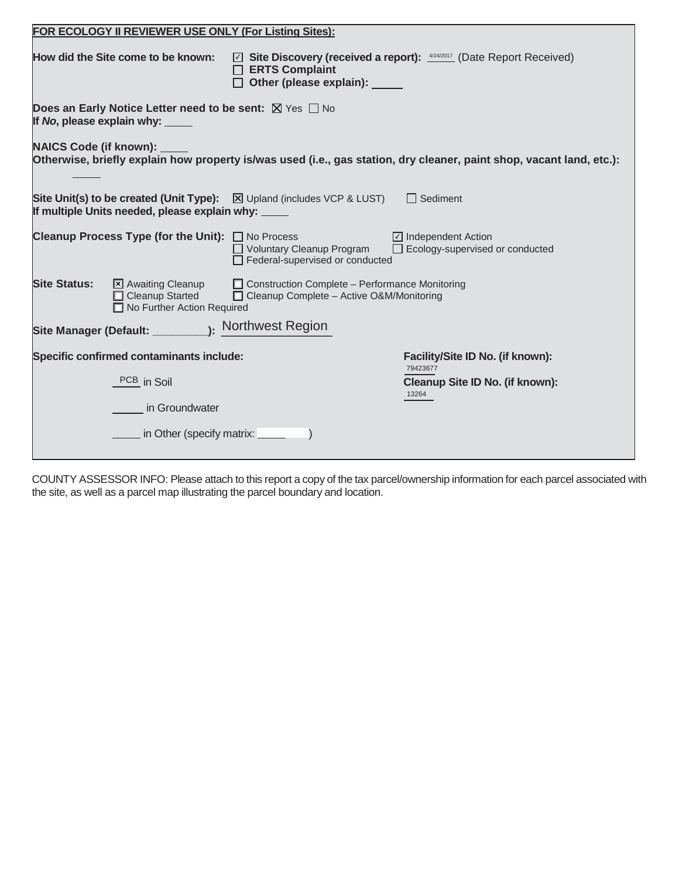| FOR ECOLOGY II REVIEWER USE ONLY (For Listing Sites):                                                                                          |                                                                                                                                                           |
|------------------------------------------------------------------------------------------------------------------------------------------------|-----------------------------------------------------------------------------------------------------------------------------------------------------------|
| How did the Site come to be known:                                                                                                             | ⊡ Site Discovery (received a report): 4/24/2017 (Date Report Received)<br>$\Box$ ERTS Complaint<br>□ Other (please explain):                              |
| <b>Does an Early Notice Letter need to be sent:</b> $\boxtimes$ Yes $\Box$ No<br>If No, please explain why:                                    |                                                                                                                                                           |
| <b>NAICS Code (if known):</b>                                                                                                                  | Otherwise, briefly explain how property is/was used (i.e., gas station, dry cleaner, paint shop, vacant land, etc.):                                      |
| <b>Site Unit(s) to be created (Unit Type):</b> $\boxtimes$ Upland (includes VCP & LUST)<br>If multiple Units needed, please explain why: _____ | $\Box$ Sediment                                                                                                                                           |
| <b>Cleanup Process Type (for the Unit):</b> $\Box$ No Process                                                                                  | $\boxed{\triangle}$ Independent Action<br>□ Voluntary Cleanup Program<br>$\Box$ Ecology-supervised or conducted<br>$\Box$ Federal-supervised or conducted |
| <b>Site Status:</b><br>X Awaiting Cleanup<br>□ Cleanup Started<br>No Further Action Required                                                   | $\Box$ Construction Complete – Performance Monitoring<br>□ Cleanup Complete – Active O&M/Monitoring                                                       |
|                                                                                                                                                |                                                                                                                                                           |
| Specific confirmed contaminants include:                                                                                                       | Facility/Site ID No. (if known):<br>79423677                                                                                                              |
| PCB in Soil                                                                                                                                    | Cleanup Site ID No. (if known):<br>13264                                                                                                                  |
| in Groundwater                                                                                                                                 |                                                                                                                                                           |
| in Other (specify matrix: __                                                                                                                   |                                                                                                                                                           |

COUNTY ASSESSOR INFO: Please attach to this report a copy of the tax parcel/ownership information for each parcel associated with the site, as well as a parcel map illustrating the parcel boundary and location.